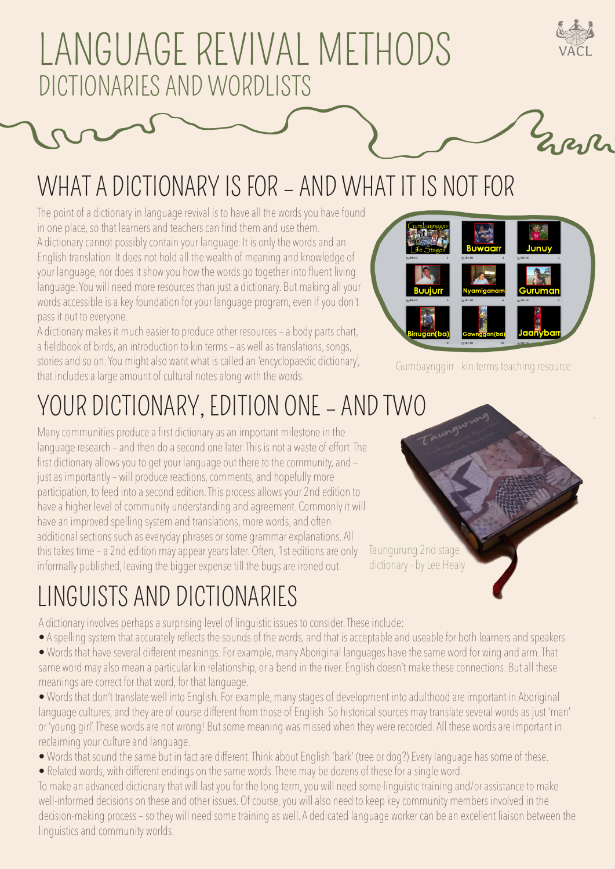## LANGUAGE REVIVAL METHODS DICTIONARIES AND WORDLISTS

### WHAT A DICTIONARY IS FOR – AND WHAT IT IS NOT FOR

The point of a dictionary in language revival is to have all the words you have found in one place, so that learners and teachers can find them and use them. A dictionary cannot possibly contain your language. It is only the words and an English translation. It does not hold all the wealth of meaning and knowledge of your language, nor does it show you how the words go together into fluent living language. You will need more resources than just a dictionary. But making all your words accessible is a key foundation for your language program, even if you don't pass it out to everyone.

A dictionary makes it much easier to produce other resources – a body parts chart, a fieldbook of birds, an introduction to kin terms – as well as translations, songs, stories and so on. You might also want what is called an 'encyclopaedic dictionary', that includes a large amount of cultural notes along with the words.



Everly

Gumbaynggirr - kin terms teaching resource

Taungurung 2nd stage dictionary - by Lee Healy

# YOUR DICTIONARY, EDITION ONE – AND TWO<br>Many communities produce a first dictionary as an important milestone in the

Many communities produce a first dictionary as an important milestone in the language research – and then do a second one later. This is not a waste of effort. The first dictionary allows you to get your language out there to the community, and – just as importantly – will produce reactions, comments, and hopefully more participation, to feed into a second edition. This process allows your 2nd edition to have a higher level of community understanding and agreement. Commonly it will have an improved spelling system and translations, more words, and often additional sections such as everyday phrases or some grammar explanations. All this takes time – a 2nd edition may appear years later. Often, 1st editions are only informally published, leaving the bigger expense till the bugs are ironed out.

### LINGUISTS AND DICTIONARIES

A dictionary involves perhaps a surprising level of linguistic issues to consider. These include:

- A spelling system that accurately reflects the sounds of the words, and that is acceptable and useable for both learners and speakers.
- Words that have several different meanings. For example, many Aboriginal languages have the same word for wing and arm. That same word may also mean a particular kin relationship, or a bend in the river. English doesn't make these connections. But all these meanings are correct for that word, for that language.
- Words that don't translate well into English. For example, many stages of development into adulthood are important in Aboriginal language cultures, and they are of course different from those of English. So historical sources may translate several words as just 'man' or 'young girl'. These words are not wrong! But some meaning was missed when they were recorded. All these words are important in reclaiming your culture and language.
- Words that sound the same but in fact are different. Think about English 'bark' (tree or dog?) Every language has some of these.
- Related words, with different endings on the same words. There may be dozens of these for a single word.

To make an advanced dictionary that will last you for the long term, you will need some linguistic training and/or assistance to make well-informed decisions on these and other issues. Of course, you will also need to keep key community members involved in the decision-making process – so they will need some training as well. A dedicated language worker can be an excellent liaison between the linguistics and community worlds.